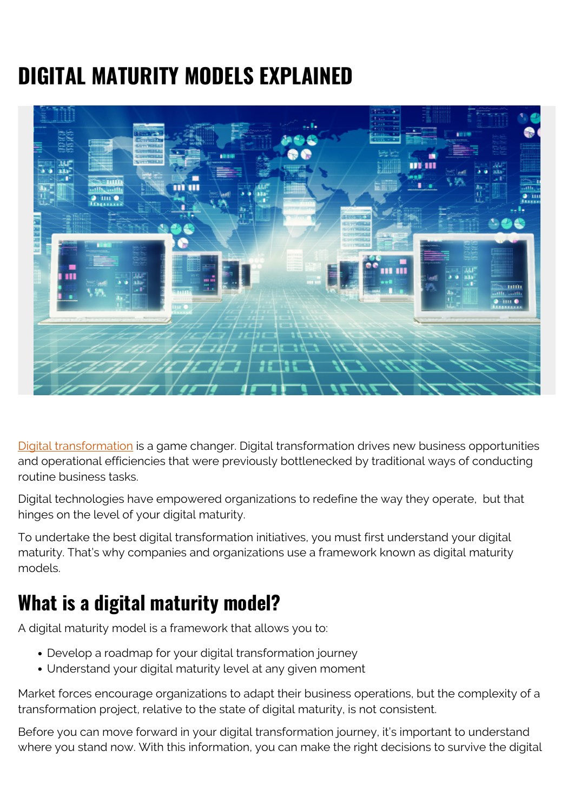# **DIGITAL MATURITY MODELS EXPLAINED**



[Digital transformation](https://blogs.bmc.com/blogs/what-is-digital-transformation/) is a game changer. Digital transformation drives new business opportunities and operational efficiencies that were previously bottlenecked by traditional ways of conducting routine business tasks.

Digital technologies have empowered organizations to redefine the way they operate, but that hinges on the level of your digital maturity.

To undertake the best digital transformation initiatives, you must first understand your digital maturity. That's why companies and organizations use a framework known as digital maturity models.

### **What is a digital maturity model?**

A digital maturity model is a framework that allows you to:

- Develop a roadmap for your digital transformation journey
- Understand your digital maturity level at any given moment

Market forces encourage organizations to adapt their business operations, but the complexity of a transformation project, relative to the state of digital maturity, is not consistent.

Before you can move forward in your digital transformation journey, it's important to understand where you stand now. With this information, you can make the right decisions to survive the digital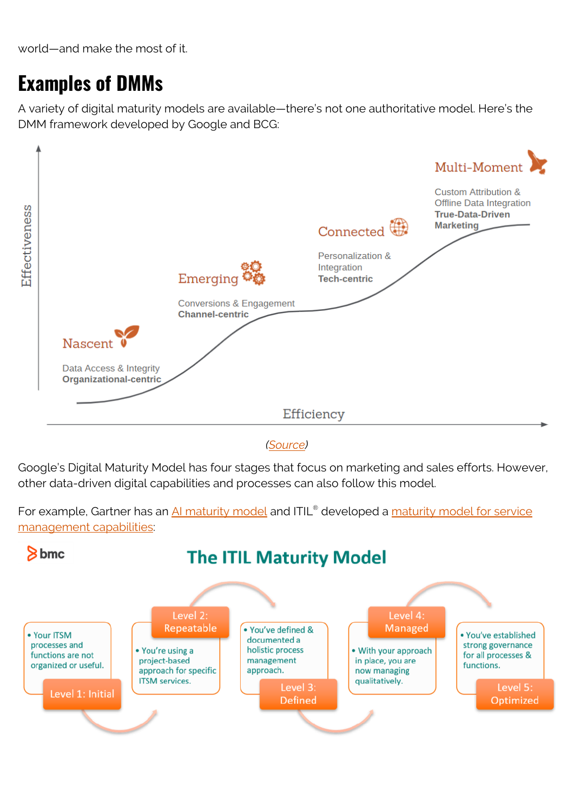world—and make the most of it.

#### **Examples of DMMs**

A variety of digital maturity models are available—there's not one authoritative model. Here's the DMM framework developed by Google and BCG:



*([Source](http://seerinteractive.com/blog/introduction-to-digital-maturity/))*

Google's Digital Maturity Model has four stages that focus on marketing and sales efforts. However, other data-driven digital capabilities and processes can also follow this model.



For example, Gartner has an <u>AI maturity model</u> and ITIL® developed a <u>maturity model for service</u> [management capabilities:](https://blogs.bmc.com/blogs/maturity-model-itsm/)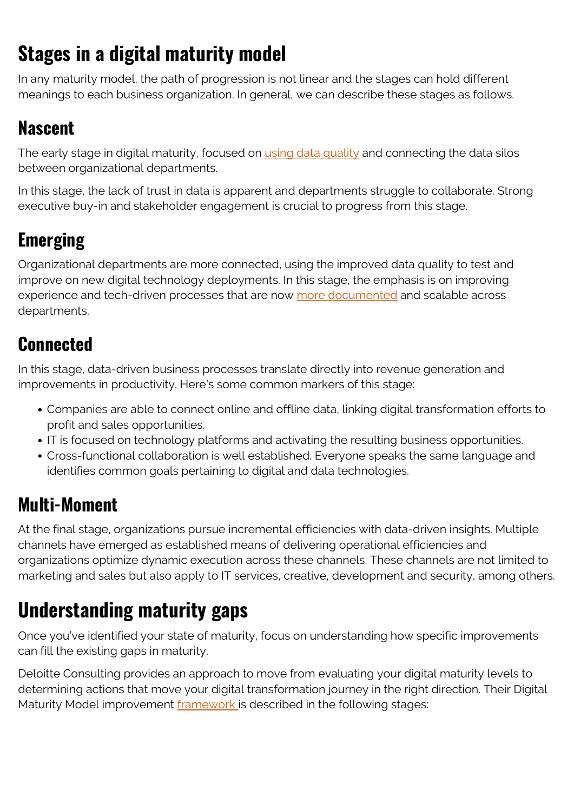## **Stages in a digital maturity model**

In any maturity model, the path of progression is not linear and the stages can hold different meanings to each business organization. In general, we can describe these stages as follows.

#### **Nascent**

The early stage in digital maturity, focused on *using data quality* and connecting the data silos between organizational departments.

In this stage, the lack of trust in data is apparent and departments struggle to collaborate. Strong executive buy-in and stakeholder engagement is crucial to progress from this stage.

### **Emerging**

Organizational departments are more connected, using the improved data quality to test and improve on new digital technology deployments. In this stage, the emphasis is on improving experience and tech-driven processes that are now [more documented](https://blogs.bmc.com/blogs/knowledge-management-best-practices/) and scalable across departments.

#### **Connected**

In this stage, data-driven business processes translate directly into revenue generation and improvements in productivity. Here's some common markers of this stage:

- Companies are able to connect online and offline data, linking digital transformation efforts to profit and sales opportunities.
- IT is focused on technology platforms and activating the resulting business opportunities.
- Cross-functional collaboration is well established. Everyone speaks the same language and identifies common goals pertaining to digital and data technologies.

#### **Multi-Moment**

At the final stage, organizations pursue incremental efficiencies with data-driven insights. Multiple channels have emerged as established means of delivering operational efficiencies and organizations optimize dynamic execution across these channels. These channels are not limited to marketing and sales but also apply to IT services, creative, development and security, among others.

## **Understanding maturity gaps**

Once you've identified your state of maturity, focus on understanding how specific improvements can fill the existing gaps in maturity.

Deloitte Consulting provides an approach to move from evaluating your digital maturity levels to determining actions that move your digital transformation journey in the right direction. Their Digital Maturity Model improvement [framework](https://www2.deloitte.com/content/dam/Deloitte/global/Documents/Technology-Media-Telecommunications/deloitte-digital-maturity-model.pdf) is described in the following stages: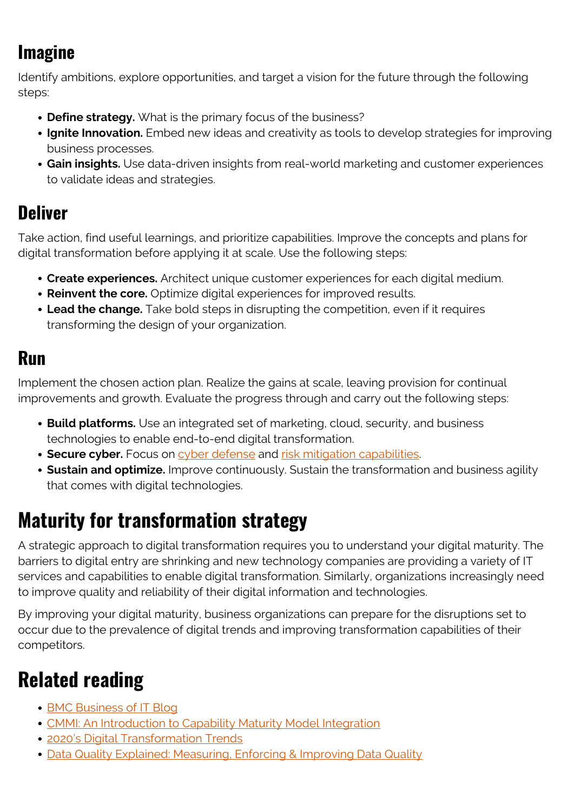### **Imagine**

Identify ambitions, explore opportunities, and target a vision for the future through the following steps:

- **Define strategy.** What is the primary focus of the business?
- **Ignite Innovation.** Embed new ideas and creativity as tools to develop strategies for improving business processes.
- **Gain insights.** Use data-driven insights from real-world marketing and customer experiences to validate ideas and strategies.

#### **Deliver**

Take action, find useful learnings, and prioritize capabilities. Improve the concepts and plans for digital transformation before applying it at scale. Use the following steps:

- **Create experiences.** Architect unique customer experiences for each digital medium.
- **Reinvent the core.** Optimize digital experiences for improved results.
- **Lead the change.** Take bold steps in disrupting the competition, even if it requires transforming the design of your organization.

#### **Run**

Implement the chosen action plan. Realize the gains at scale, leaving provision for continual improvements and growth. Evaluate the progress through and carry out the following steps:

- **Build platforms.** Use an integrated set of marketing, cloud, security, and business technologies to enable end-to-end digital transformation.
- **Secure cyber.** Focus on [cyber defense](https://blogs.bmc.com/blogs/cybersecurity/) and [risk mitigation capabilities.](https://blogs.bmc.com/blogs/risk-assessment-vs-vulnerability-assessment/)
- **Sustain and optimize.** Improve continuously. Sustain the transformation and business agility that comes with digital technologies.

### **Maturity for transformation strategy**

A strategic approach to digital transformation requires you to understand your digital maturity. The barriers to digital entry are shrinking and new technology companies are providing a variety of IT services and capabilities to enable digital transformation. Similarly, organizations increasingly need to improve quality and reliability of their digital information and technologies.

By improving your digital maturity, business organizations can prepare for the disruptions set to occur due to the prevalence of digital trends and improving transformation capabilities of their competitors.

### **Related reading**

- [BMC Business of IT Blog](https://blogs.bmc.com/blogs/categories/business-of-it/)
- [CMMI: An Introduction to Capability Maturity Model Integration](https://blogs.bmc.com/blogs/cmmi-capability-maturity-model-integration/)
- [2020's Digital Transformation Trends](https://blogs.bmc.com/blogs/digital-transformation-trends/)
- [Data Quality Explained: Measuring, Enforcing & Improving Data Quality](https://blogs.bmc.com/blogs/data-quality/)